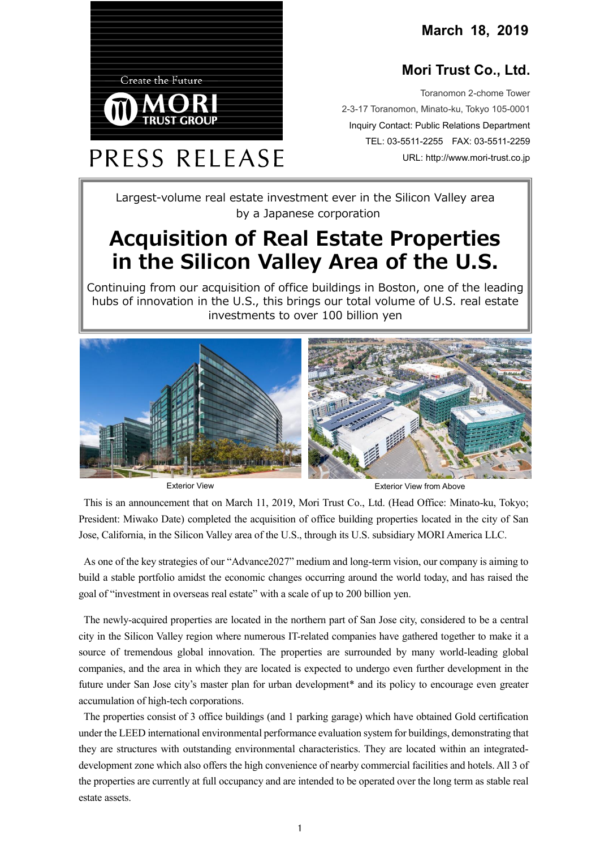**March 18, 2019**

## **Mori Trust Co., Ltd.**

Toranomon 2-chome Tower 2-3-17 Toranomon, Minato-ku, Tokyo 105-0001 Inquiry Contact: Public Relations Department TEL: 03-5511-2255 FAX: 03-5511-2259 URL: http://www.mori-trust.co.jp

Largest-volume real estate investment ever in the Silicon Valley area by a Japanese corporation

## **Acquisition of Real Estate Properties in the Silicon Valley Area of the U.S.**

Continuing from our acquisition of office buildings in Boston, one of the leading hubs of innovation in the U.S., this brings our total volume of U.S. real estate investments to over 100 billion yen



**Create the Future** 

PRESS RELEASE

Exterior View **Exterior View For Above**<br>
Exterior View from Above

This is an announcement that on March 11, 2019, Mori Trust Co., Ltd. (Head Office: Minato-ku, Tokyo; President: Miwako Date) completed the acquisition of office building properties located in the city of San Jose, California, in the Silicon Valley area of the U.S., through its U.S. subsidiary MORI America LLC.

As one of the key strategies of our "Advance2027" medium and long-term vision, our company is aiming to build a stable portfolio amidst the economic changes occurring around the world today, and has raised the goal of "investment in overseas real estate" with a scale of up to 200 billion yen.

The newly-acquired properties are located in the northern part of San Jose city, considered to be a central city in the Silicon Valley region where numerous IT-related companies have gathered together to make it a source of tremendous global innovation. The properties are surrounded by many world-leading global companies, and the area in which they are located is expected to undergo even further development in the future under San Jose city's master plan for urban development\* and its policy to encourage even greater accumulation of high-tech corporations.

The properties consist of 3 office buildings (and 1 parking garage) which have obtained Gold certification under the LEED international environmental performance evaluation system for buildings, demonstrating that they are structures with outstanding environmental characteristics. They are located within an integrateddevelopment zone which also offers the high convenience of nearby commercial facilities and hotels. All 3 of the properties are currently at full occupancy and are intended to be operated over the long term as stable real estate assets.